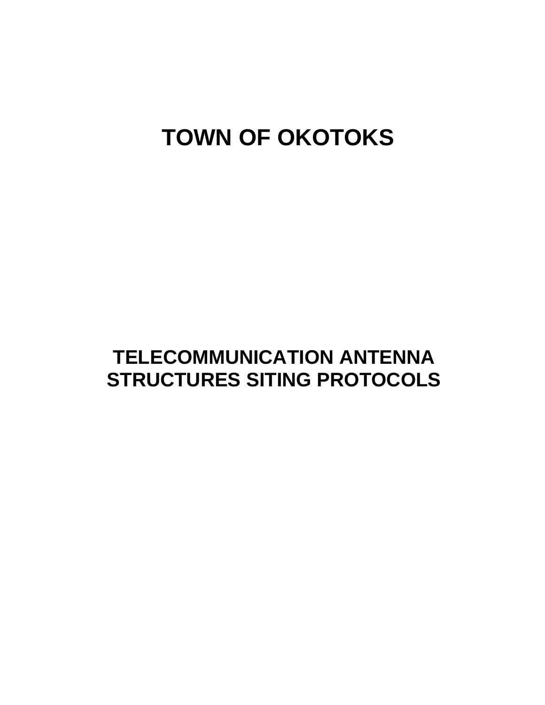# **TOWN OF OKOTOKS**

## **TELECOMMUNICATION ANTENNA STRUCTURES SITING PROTOCOLS**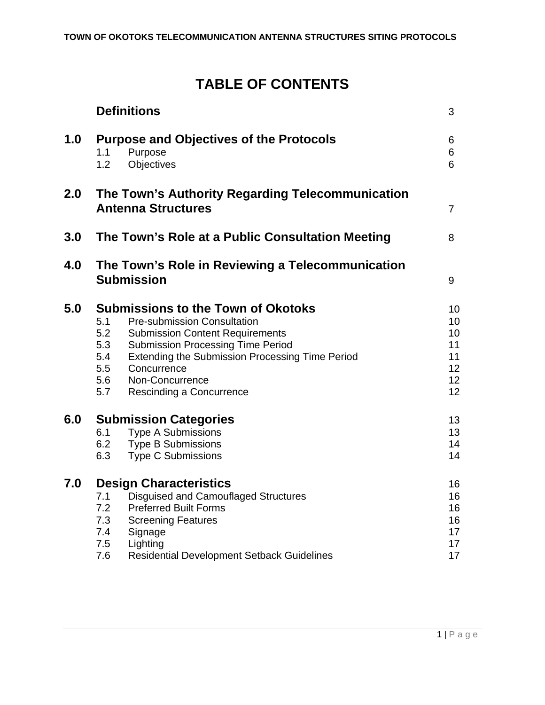## **TABLE OF CONTENTS**

|     | <b>Definitions</b>                                                                                                                                                                                                                                                                                                                             | 3                                            |  |
|-----|------------------------------------------------------------------------------------------------------------------------------------------------------------------------------------------------------------------------------------------------------------------------------------------------------------------------------------------------|----------------------------------------------|--|
| 1.0 | <b>Purpose and Objectives of the Protocols</b><br>Purpose<br>1.1<br>Objectives<br>1.2                                                                                                                                                                                                                                                          | 6<br>6<br>6                                  |  |
| 2.0 | The Town's Authority Regarding Telecommunication<br><b>Antenna Structures</b>                                                                                                                                                                                                                                                                  | $\overline{7}$                               |  |
| 3.0 | The Town's Role at a Public Consultation Meeting                                                                                                                                                                                                                                                                                               | 8                                            |  |
| 4.0 | The Town's Role in Reviewing a Telecommunication<br><b>Submission</b><br>9                                                                                                                                                                                                                                                                     |                                              |  |
| 5.0 | <b>Submissions to the Town of Okotoks</b><br>5.1<br><b>Pre-submission Consultation</b><br>5.2<br><b>Submission Content Requirements</b><br>5.3<br><b>Submission Processing Time Period</b><br>5.4<br><b>Extending the Submission Processing Time Period</b><br>5.5<br>Concurrence<br>5.6<br>Non-Concurrence<br>5.7<br>Rescinding a Concurrence | 10<br>10<br>10<br>11<br>11<br>12<br>12<br>12 |  |
| 6.0 | <b>Submission Categories</b><br><b>Type A Submissions</b><br>6.1<br>6.2<br><b>Type B Submissions</b><br>6.3<br><b>Type C Submissions</b>                                                                                                                                                                                                       | 13<br>13<br>14<br>14                         |  |
| 7.0 | <b>Design Characteristics</b><br>7.1<br>Disquised and Camouflaged Structures<br>7.2<br><b>Preferred Built Forms</b><br>7.3<br><b>Screening Features</b><br>7.4<br>Signage<br>7.5<br>Lighting<br>7.6<br><b>Residential Development Setback Guidelines</b>                                                                                       | 16<br>16<br>16<br>16<br>17<br>17<br>17       |  |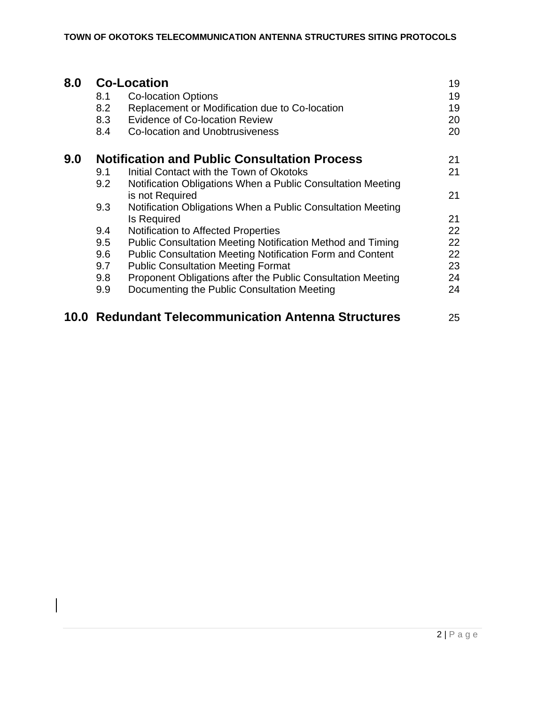| 8.0  | <b>Co-Location</b>                                  |                                                                   |    |
|------|-----------------------------------------------------|-------------------------------------------------------------------|----|
|      | 8.1                                                 | <b>Co-location Options</b>                                        | 19 |
|      | 8.2                                                 | Replacement or Modification due to Co-location                    | 19 |
|      | 8.3                                                 | <b>Evidence of Co-location Review</b>                             | 20 |
|      | 8.4                                                 | Co-location and Unobtrusiveness                                   | 20 |
| 9.0  | <b>Notification and Public Consultation Process</b> |                                                                   |    |
|      | 9.1                                                 | Initial Contact with the Town of Okotoks                          | 21 |
|      | 9.2                                                 | Notification Obligations When a Public Consultation Meeting       |    |
|      |                                                     | is not Required                                                   | 21 |
|      | 9.3                                                 | Notification Obligations When a Public Consultation Meeting       |    |
|      |                                                     | <b>Is Required</b>                                                | 21 |
|      | 9.4                                                 | <b>Notification to Affected Properties</b>                        | 22 |
|      | 9.5                                                 | <b>Public Consultation Meeting Notification Method and Timing</b> | 22 |
|      | 9.6                                                 | <b>Public Consultation Meeting Notification Form and Content</b>  | 22 |
|      | 9.7                                                 | <b>Public Consultation Meeting Format</b>                         | 23 |
|      | 9.8                                                 | Proponent Obligations after the Public Consultation Meeting       | 24 |
|      | 9.9                                                 | Documenting the Public Consultation Meeting                       | 24 |
| 10.0 |                                                     | <b>Redundant Telecommunication Antenna Structures</b>             | 25 |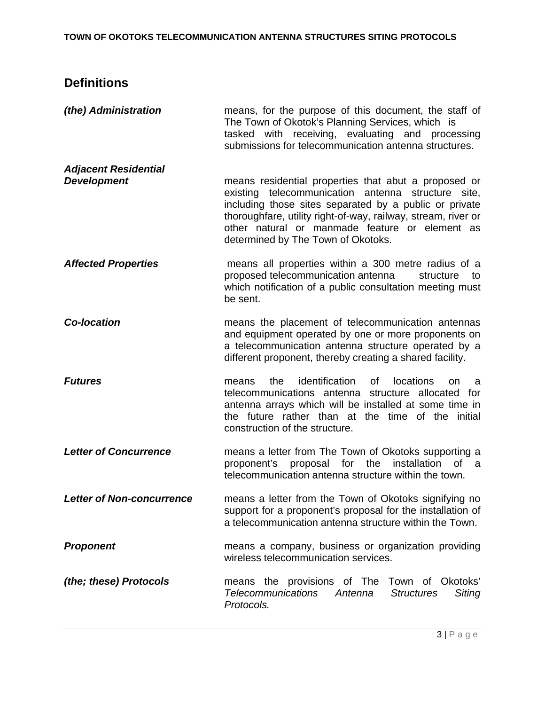## **Definitions**

| (the) Administration                              | means, for the purpose of this document, the staff of<br>The Town of Okotok's Planning Services, which is<br>tasked with receiving, evaluating and processing<br>submissions for telecommunication antenna structures.                                                                                                              |
|---------------------------------------------------|-------------------------------------------------------------------------------------------------------------------------------------------------------------------------------------------------------------------------------------------------------------------------------------------------------------------------------------|
| <b>Adjacent Residential</b><br><b>Development</b> | means residential properties that abut a proposed or<br>telecommunication antenna<br>existing<br>structure site,<br>including those sites separated by a public or private<br>thoroughfare, utility right-of-way, railway, stream, river or<br>other natural or manmade feature or element as<br>determined by The Town of Okotoks. |
| <b>Affected Properties</b>                        | means all properties within a 300 metre radius of a<br>proposed telecommunication antenna<br>structure<br>to<br>which notification of a public consultation meeting must<br>be sent.                                                                                                                                                |
| <b>Co-location</b>                                | means the placement of telecommunication antennas<br>and equipment operated by one or more proponents on<br>a telecommunication antenna structure operated by a<br>different proponent, thereby creating a shared facility.                                                                                                         |
| <b>Futures</b>                                    | identification<br>locations<br>the<br>of<br>means<br>on.<br>a<br>telecommunications antenna structure allocated for<br>antenna arrays which will be installed at some time in<br>the future rather than at the time of the initial<br>construction of the structure.                                                                |
| <b>Letter of Concurrence</b>                      | means a letter from The Town of Okotoks supporting a<br>proponent's proposal for the installation<br>0f<br>a<br>telecommunication antenna structure within the town.                                                                                                                                                                |
| <b>Letter of Non-concurrence</b>                  | means a letter from the Town of Okotoks signifying no<br>support for a proponent's proposal for the installation of<br>a telecommunication antenna structure within the Town.                                                                                                                                                       |
| <b>Proponent</b>                                  | means a company, business or organization providing<br>wireless telecommunication services.                                                                                                                                                                                                                                         |
| (the; these) Protocols                            | means the provisions of The Town of Okotoks'<br><b>Telecommunications</b><br>Siting<br>Antenna<br><b>Structures</b><br>Protocols.                                                                                                                                                                                                   |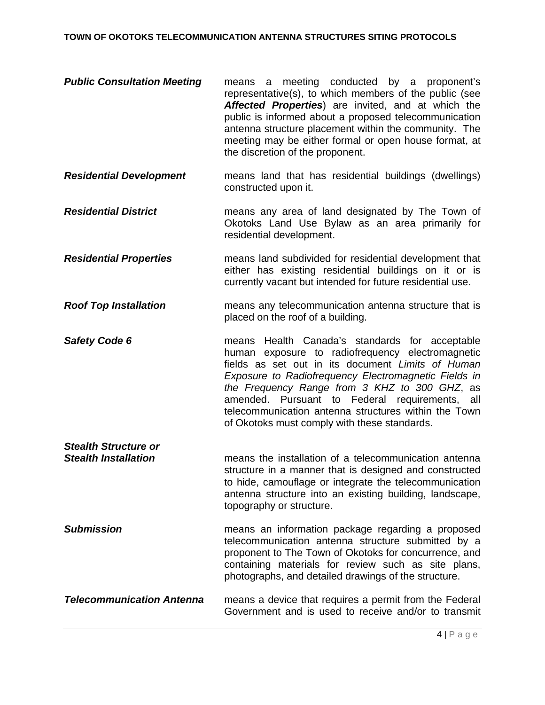#### **TOWN OF OKOTOKS TELECOMMUNICATION ANTENNA STRUCTURES SITING PROTOCOLS**

- *Public Consultation Meeting* means a meeting conducted by a proponent's representative(s), to which members of the public (see *Affected Properties*) are invited, and at which the public is informed about a proposed telecommunication antenna structure placement within the community. The meeting may be either formal or open house format, at the discretion of the proponent.
- *Residential Development* means land that has residential buildings (dwellings) constructed upon it.
- *Residential District* means any area of land designated by The Town of Okotoks Land Use Bylaw as an area primarily for residential development.
- *Residential Properties* means land subdivided for residential development that either has existing residential buildings on it or is currently vacant but intended for future residential use.
- *Roof Top Installation* means any telecommunication antenna structure that is placed on the roof of a building.
- **Safety Code 6** *means* Health Canada's standards for acceptable **Safety Code 6** human exposure to radiofrequency electromagnetic fields as set out in its document *Limits of Human Exposure to Radiofrequency Electromagnetic Fields in the Frequency Range from 3 KHZ to 300 GHZ*, as amended. Pursuant to Federal requirements, all telecommunication antenna structures within the Town of Okotoks must comply with these standards.
- **Stealth Installation means the installation of a telecommunication antenna** structure in a manner that is designed and constructed to hide, camouflage or integrate the telecommunication antenna structure into an existing building, landscape, topography or structure.

*Stealth Structure or* 

- **Submission means an information package regarding a proposed** telecommunication antenna structure submitted by a proponent to The Town of Okotoks for concurrence, and containing materials for review such as site plans, photographs, and detailed drawings of the structure.
- *Telecommunication Antenna* means a device that requires a permit from the Federal Government and is used to receive and/or to transmit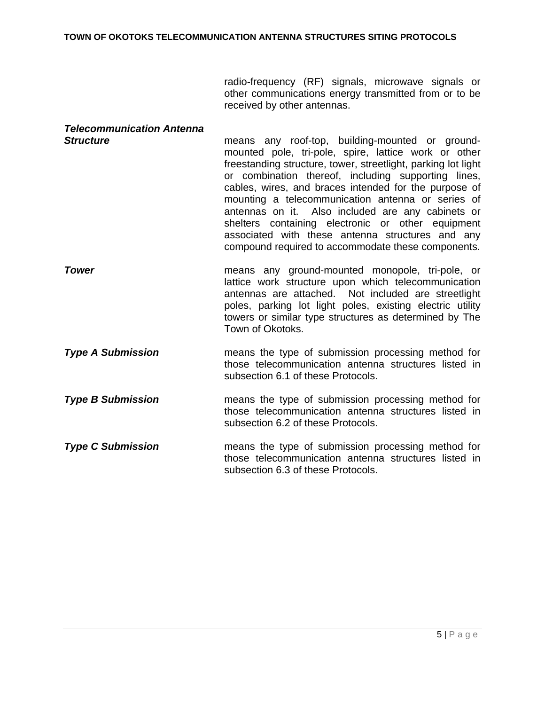radio-frequency (RF) signals, microwave signals or other communications energy transmitted from or to be received by other antennas.

| <b>Telecommunication Antenna</b><br><b>Structure</b> | means any roof-top, building-mounted or ground-<br>mounted pole, tri-pole, spire, lattice work or other<br>freestanding structure, tower, streetlight, parking lot light<br>or combination thereof, including supporting lines,<br>cables, wires, and braces intended for the purpose of<br>mounting a telecommunication antenna or series of<br>antennas on it. Also included are any cabinets or<br>shelters containing electronic or other equipment<br>associated with these antenna structures and any<br>compound required to accommodate these components. |
|------------------------------------------------------|-------------------------------------------------------------------------------------------------------------------------------------------------------------------------------------------------------------------------------------------------------------------------------------------------------------------------------------------------------------------------------------------------------------------------------------------------------------------------------------------------------------------------------------------------------------------|
| <b>Tower</b>                                         | means any ground-mounted monopole, tri-pole, or<br>lattice work structure upon which telecommunication<br>antennas are attached. Not included are streetlight<br>poles, parking lot light poles, existing electric utility<br>towers or similar type structures as determined by The<br>Town of Okotoks.                                                                                                                                                                                                                                                          |
| <b>Type A Submission</b>                             | means the type of submission processing method for<br>those telecommunication antenna structures listed in<br>subsection 6.1 of these Protocols.                                                                                                                                                                                                                                                                                                                                                                                                                  |
| <b>Type B Submission</b>                             | means the type of submission processing method for<br>those telecommunication antenna structures listed in<br>subsection 6.2 of these Protocols.                                                                                                                                                                                                                                                                                                                                                                                                                  |
| <b>Type C Submission</b>                             | means the type of submission processing method for<br>those telecommunication antenna structures listed in<br>subsection 6.3 of these Protocols.                                                                                                                                                                                                                                                                                                                                                                                                                  |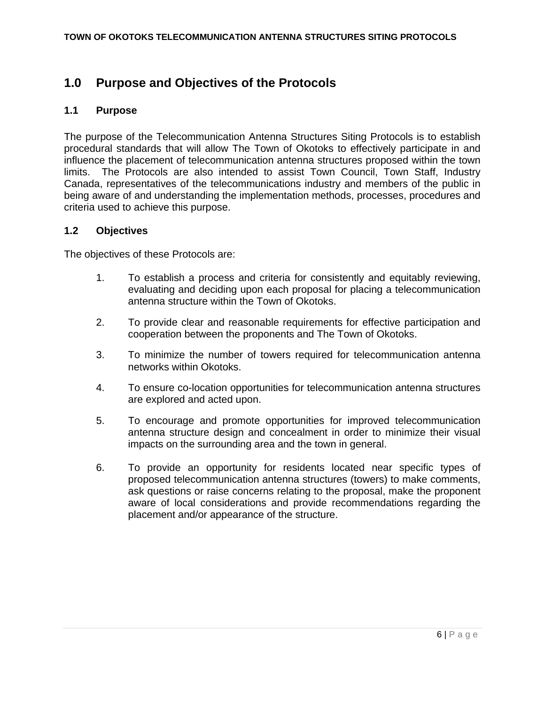## **1.0 Purpose and Objectives of the Protocols**

#### **1.1 Purpose**

The purpose of the Telecommunication Antenna Structures Siting Protocols is to establish procedural standards that will allow The Town of Okotoks to effectively participate in and influence the placement of telecommunication antenna structures proposed within the town limits. The Protocols are also intended to assist Town Council, Town Staff, Industry Canada, representatives of the telecommunications industry and members of the public in being aware of and understanding the implementation methods, processes, procedures and criteria used to achieve this purpose.

#### **1.2 Objectives**

The objectives of these Protocols are:

- 1. To establish a process and criteria for consistently and equitably reviewing, evaluating and deciding upon each proposal for placing a telecommunication antenna structure within the Town of Okotoks.
- 2. To provide clear and reasonable requirements for effective participation and cooperation between the proponents and The Town of Okotoks.
- 3. To minimize the number of towers required for telecommunication antenna networks within Okotoks.
- 4. To ensure co-location opportunities for telecommunication antenna structures are explored and acted upon.
- 5. To encourage and promote opportunities for improved telecommunication antenna structure design and concealment in order to minimize their visual impacts on the surrounding area and the town in general.
- 6. To provide an opportunity for residents located near specific types of proposed telecommunication antenna structures (towers) to make comments, ask questions or raise concerns relating to the proposal, make the proponent aware of local considerations and provide recommendations regarding the placement and/or appearance of the structure.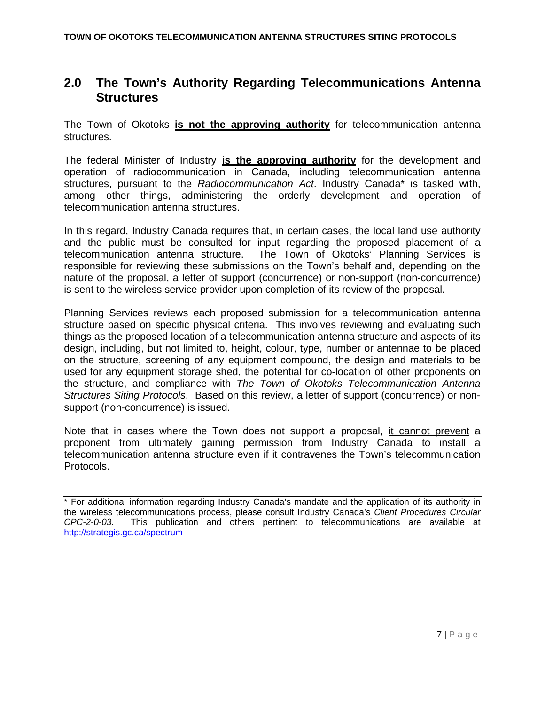## **2.0 The Town's Authority Regarding Telecommunications Antenna Structures**

The Town of Okotoks **is not the approving authority** for telecommunication antenna structures.

The federal Minister of Industry **is the approving authority** for the development and operation of radiocommunication in Canada, including telecommunication antenna structures, pursuant to the *Radiocommunication Act*. Industry Canada\* is tasked with, among other things, administering the orderly development and operation of telecommunication antenna structures.

In this regard, Industry Canada requires that, in certain cases, the local land use authority and the public must be consulted for input regarding the proposed placement of a telecommunication antenna structure. The Town of Okotoks' Planning Services is responsible for reviewing these submissions on the Town's behalf and, depending on the nature of the proposal, a letter of support (concurrence) or non-support (non-concurrence) is sent to the wireless service provider upon completion of its review of the proposal.

Planning Services reviews each proposed submission for a telecommunication antenna structure based on specific physical criteria. This involves reviewing and evaluating such things as the proposed location of a telecommunication antenna structure and aspects of its design, including, but not limited to, height, colour, type, number or antennae to be placed on the structure, screening of any equipment compound, the design and materials to be used for any equipment storage shed, the potential for co-location of other proponents on the structure, and compliance with *The Town of Okotoks Telecommunication Antenna Structures Siting Protocols*. Based on this review, a letter of support (concurrence) or nonsupport (non-concurrence) is issued.

Note that in cases where the Town does not support a proposal, it cannot prevent a proponent from ultimately gaining permission from Industry Canada to install a telecommunication antenna structure even if it contravenes the Town's telecommunication Protocols.

<sup>\*</sup> For additional information regarding Industry Canada's mandate and the application of its authority in the wireless telecommunications process, please consult Industry Canada's *Client Procedures Circular CPC-2-0-03*. This publication and others pertinent to telecommunications are available at http://strategis.gc.ca/spectrum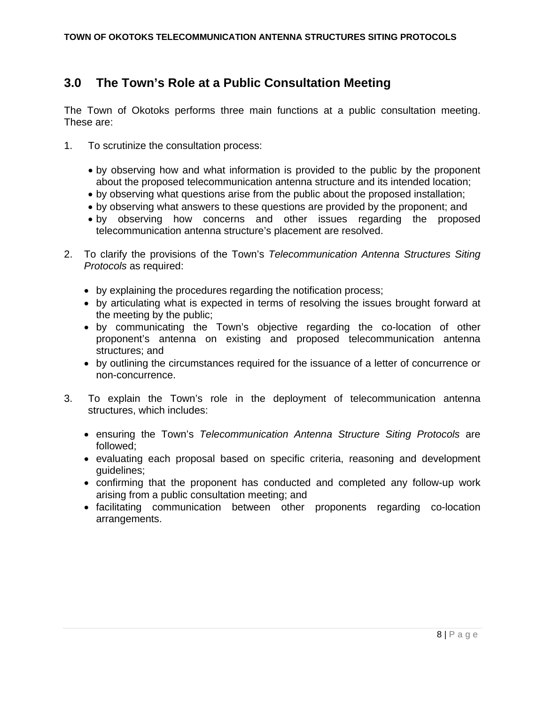## **3.0 The Town's Role at a Public Consultation Meeting**

The Town of Okotoks performs three main functions at a public consultation meeting. These are:

- 1. To scrutinize the consultation process:
	- by observing how and what information is provided to the public by the proponent about the proposed telecommunication antenna structure and its intended location;
	- by observing what questions arise from the public about the proposed installation;
	- by observing what answers to these questions are provided by the proponent; and
	- by observing how concerns and other issues regarding the proposed telecommunication antenna structure's placement are resolved.
- 2. To clarify the provisions of the Town's *Telecommunication Antenna Structures Siting Protocols* as required:
	- by explaining the procedures regarding the notification process;
	- by articulating what is expected in terms of resolving the issues brought forward at the meeting by the public;
	- by communicating the Town's objective regarding the co-location of other proponent's antenna on existing and proposed telecommunication antenna structures; and
	- by outlining the circumstances required for the issuance of a letter of concurrence or non-concurrence.
- 3. To explain the Town's role in the deployment of telecommunication antenna structures, which includes:
	- ensuring the Town's *Telecommunication Antenna Structure Siting Protocols* are followed;
	- evaluating each proposal based on specific criteria, reasoning and development guidelines;
	- confirming that the proponent has conducted and completed any follow-up work arising from a public consultation meeting; and
	- facilitating communication between other proponents regarding co-location arrangements.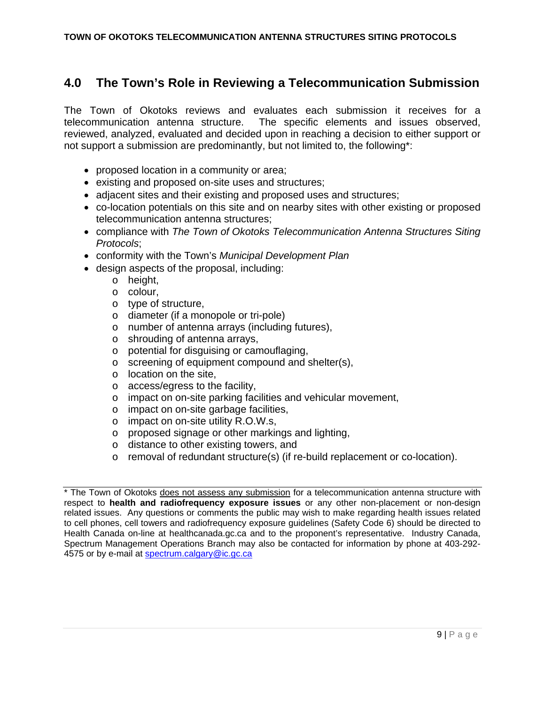## **4.0 The Town's Role in Reviewing a Telecommunication Submission**

The Town of Okotoks reviews and evaluates each submission it receives for a telecommunication antenna structure. The specific elements and issues observed, reviewed, analyzed, evaluated and decided upon in reaching a decision to either support or not support a submission are predominantly, but not limited to, the following\*:

- proposed location in a community or area;
- existing and proposed on-site uses and structures;
- adjacent sites and their existing and proposed uses and structures;
- co-location potentials on this site and on nearby sites with other existing or proposed telecommunication antenna structures;
- compliance with *The Town of Okotoks Telecommunication Antenna Structures Siting Protocols*;
- conformity with the Town's *Municipal Development Plan*
- design aspects of the proposal, including:
	- o height,
	- o colour,
	- o type of structure,
	- o diameter (if a monopole or tri-pole)
	- o number of antenna arrays (including futures),
	- o shrouding of antenna arrays,
	- o potential for disguising or camouflaging,
	- o screening of equipment compound and shelter(s),
	- o location on the site,
	- o access/egress to the facility,
	- o impact on on-site parking facilities and vehicular movement,
	- o impact on on-site garbage facilities,
	- o impact on on-site utility R.O.W.s,
	- o proposed signage or other markings and lighting,
	- o distance to other existing towers, and
	- $\circ$  removal of redundant structure(s) (if re-build replacement or co-location).

<sup>\*</sup> The Town of Okotoks does not assess any submission for a telecommunication antenna structure with respect to **health and radiofrequency exposure issues** or any other non-placement or non-design related issues. Any questions or comments the public may wish to make regarding health issues related to cell phones, cell towers and radiofrequency exposure guidelines (Safety Code 6) should be directed to Health Canada on-line at healthcanada.gc.ca and to the proponent's representative. Industry Canada, Spectrum Management Operations Branch may also be contacted for information by phone at 403-292- 4575 or by e-mail at spectrum.calgary@ic.gc.ca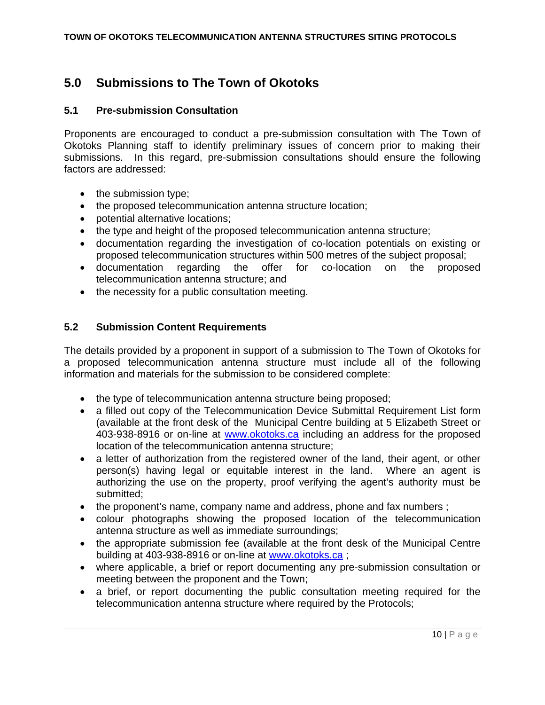## **5.0 Submissions to The Town of Okotoks**

#### **5.1 Pre-submission Consultation**

Proponents are encouraged to conduct a pre-submission consultation with The Town of Okotoks Planning staff to identify preliminary issues of concern prior to making their submissions. In this regard, pre-submission consultations should ensure the following factors are addressed:

- the submission type;
- the proposed telecommunication antenna structure location;
- potential alternative locations:
- the type and height of the proposed telecommunication antenna structure;
- documentation regarding the investigation of co-location potentials on existing or proposed telecommunication structures within 500 metres of the subject proposal;
- documentation regarding the offer for co-location on the proposed telecommunication antenna structure; and
- the necessity for a public consultation meeting.

#### **5.2 Submission Content Requirements**

The details provided by a proponent in support of a submission to The Town of Okotoks for a proposed telecommunication antenna structure must include all of the following information and materials for the submission to be considered complete:

- the type of telecommunication antenna structure being proposed;
- a filled out copy of the Telecommunication Device Submittal Requirement List form (available at the front desk of the Municipal Centre building at 5 Elizabeth Street or 403-938-8916 or on-line at www.okotoks.ca including an address for the proposed location of the telecommunication antenna structure;
- a letter of authorization from the registered owner of the land, their agent, or other person(s) having legal or equitable interest in the land. Where an agent is authorizing the use on the property, proof verifying the agent's authority must be submitted;
- the proponent's name, company name and address, phone and fax numbers;
- colour photographs showing the proposed location of the telecommunication antenna structure as well as immediate surroundings;
- the appropriate submission fee (available at the front desk of the Municipal Centre building at 403-938-8916 or on-line at www.okotoks.ca ;
- where applicable, a brief or report documenting any pre-submission consultation or meeting between the proponent and the Town;
- a brief, or report documenting the public consultation meeting required for the telecommunication antenna structure where required by the Protocols;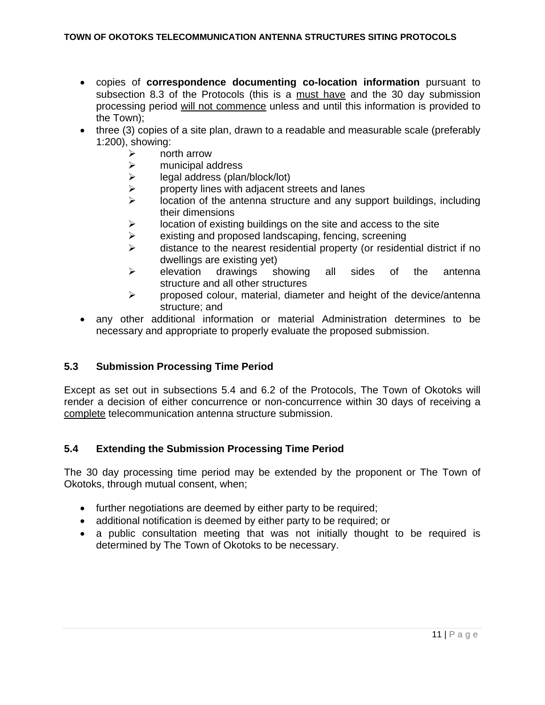- copies of **correspondence documenting co-location information** pursuant to subsection 8.3 of the Protocols (this is a must have and the 30 day submission processing period will not commence unless and until this information is provided to the Town);
- three (3) copies of a site plan, drawn to a readable and measurable scale (preferably 1:200), showing:
	- $\triangleright$  north arrow
	- $\ge$  municipal address<br> $\ge$  legal address (plar
	- legal address (plan/block/lot)
	- $\triangleright$  property lines with adjacent streets and lanes
	- $\triangleright$  location of the antenna structure and any support buildings, including their dimensions
	- $\triangleright$  location of existing buildings on the site and access to the site
	- $\triangleright$  existing and proposed landscaping, fencing, screening
	- $\triangleright$  distance to the nearest residential property (or residential district if no dwellings are existing yet)
	- $\triangleright$  elevation drawings showing all sides of the antenna structure and all other structures
	- $\triangleright$  proposed colour, material, diameter and height of the device/antenna structure; and
- any other additional information or material Administration determines to be necessary and appropriate to properly evaluate the proposed submission.

#### **5.3 Submission Processing Time Period**

Except as set out in subsections 5.4 and 6.2 of the Protocols, The Town of Okotoks will render a decision of either concurrence or non-concurrence within 30 days of receiving a complete telecommunication antenna structure submission.

#### **5.4 Extending the Submission Processing Time Period**

The 30 day processing time period may be extended by the proponent or The Town of Okotoks, through mutual consent, when;

- further negotiations are deemed by either party to be required;
- additional notification is deemed by either party to be required; or
- a public consultation meeting that was not initially thought to be required is determined by The Town of Okotoks to be necessary.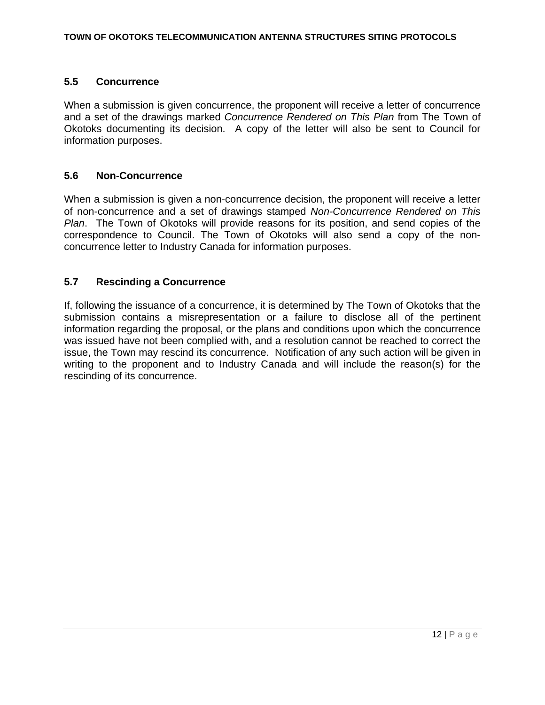#### **5.5 Concurrence**

When a submission is given concurrence, the proponent will receive a letter of concurrence and a set of the drawings marked *Concurrence Rendered on This Plan* from The Town of Okotoks documenting its decision. A copy of the letter will also be sent to Council for information purposes.

#### **5.6 Non-Concurrence**

When a submission is given a non-concurrence decision, the proponent will receive a letter of non-concurrence and a set of drawings stamped *Non-Concurrence Rendered on This Plan*. The Town of Okotoks will provide reasons for its position, and send copies of the correspondence to Council. The Town of Okotoks will also send a copy of the nonconcurrence letter to Industry Canada for information purposes.

#### **5.7 Rescinding a Concurrence**

If, following the issuance of a concurrence, it is determined by The Town of Okotoks that the submission contains a misrepresentation or a failure to disclose all of the pertinent information regarding the proposal, or the plans and conditions upon which the concurrence was issued have not been complied with, and a resolution cannot be reached to correct the issue, the Town may rescind its concurrence. Notification of any such action will be given in writing to the proponent and to Industry Canada and will include the reason(s) for the rescinding of its concurrence.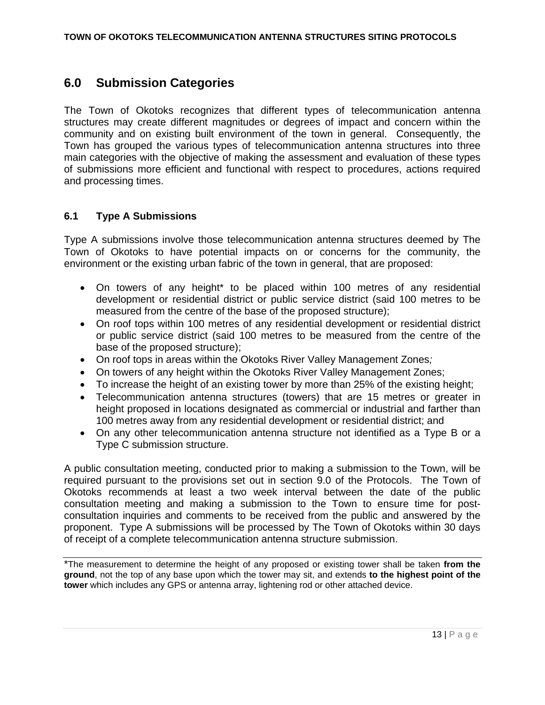### **6.0 Submission Categories**

The Town of Okotoks recognizes that different types of telecommunication antenna structures may create different magnitudes or degrees of impact and concern within the community and on existing built environment of the town in general. Consequently, the Town has grouped the various types of telecommunication antenna structures into three main categories with the objective of making the assessment and evaluation of these types of submissions more efficient and functional with respect to procedures, actions required and processing times.

#### **6.1 Type A Submissions**

Type A submissions involve those telecommunication antenna structures deemed by The Town of Okotoks to have potential impacts on or concerns for the community, the environment or the existing urban fabric of the town in general, that are proposed:

- On towers of any height\* to be placed within 100 metres of any residential development or residential district or public service district (said 100 metres to be measured from the centre of the base of the proposed structure);
- On roof tops within 100 metres of any residential development or residential district or public service district (said 100 metres to be measured from the centre of the base of the proposed structure);
- On roof tops in areas within the Okotoks River Valley Management Zones*;*
- On towers of any height within the Okotoks River Valley Management Zones;
- To increase the height of an existing tower by more than 25% of the existing height;
- Telecommunication antenna structures (towers) that are 15 metres or greater in height proposed in locations designated as commercial or industrial and farther than 100 metres away from any residential development or residential district; and
- On any other telecommunication antenna structure not identified as a Type B or a Type C submission structure.

A public consultation meeting, conducted prior to making a submission to the Town, will be required pursuant to the provisions set out in section 9.0 of the Protocols. The Town of Okotoks recommends at least a two week interval between the date of the public consultation meeting and making a submission to the Town to ensure time for postconsultation inquiries and comments to be received from the public and answered by the proponent. Type A submissions will be processed by The Town of Okotoks within 30 days of receipt of a complete telecommunication antenna structure submission.

\*The measurement to determine the height of any proposed or existing tower shall be taken **from the ground**, not the top of any base upon which the tower may sit, and extends **to the highest point of the tower** which includes any GPS or antenna array, lightening rod or other attached device.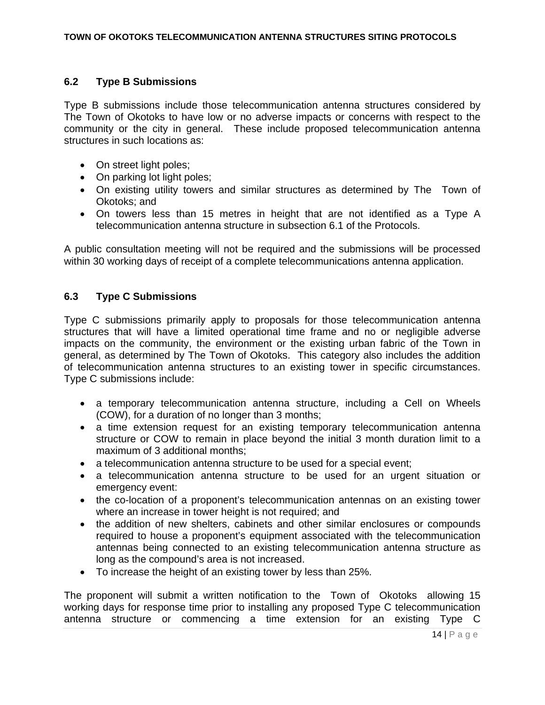#### **6.2 Type B Submissions**

Type B submissions include those telecommunication antenna structures considered by The Town of Okotoks to have low or no adverse impacts or concerns with respect to the community or the city in general. These include proposed telecommunication antenna structures in such locations as:

- On street light poles;
- On parking lot light poles;
- On existing utility towers and similar structures as determined by The Town of Okotoks; and
- On towers less than 15 metres in height that are not identified as a Type A telecommunication antenna structure in subsection 6.1 of the Protocols.

A public consultation meeting will not be required and the submissions will be processed within 30 working days of receipt of a complete telecommunications antenna application.

#### **6.3 Type C Submissions**

Type C submissions primarily apply to proposals for those telecommunication antenna structures that will have a limited operational time frame and no or negligible adverse impacts on the community, the environment or the existing urban fabric of the Town in general, as determined by The Town of Okotoks. This category also includes the addition of telecommunication antenna structures to an existing tower in specific circumstances. Type C submissions include:

- a temporary telecommunication antenna structure, including a Cell on Wheels (COW), for a duration of no longer than 3 months;
- a time extension request for an existing temporary telecommunication antenna structure or COW to remain in place beyond the initial 3 month duration limit to a maximum of 3 additional months;
- a telecommunication antenna structure to be used for a special event;
- a telecommunication antenna structure to be used for an urgent situation or emergency event:
- the co-location of a proponent's telecommunication antennas on an existing tower where an increase in tower height is not required; and
- the addition of new shelters, cabinets and other similar enclosures or compounds required to house a proponent's equipment associated with the telecommunication antennas being connected to an existing telecommunication antenna structure as long as the compound's area is not increased.
- To increase the height of an existing tower by less than 25%.

The proponent will submit a written notification to the Town of Okotoks allowing 15 working days for response time prior to installing any proposed Type C telecommunication antenna structure or commencing a time extension for an existing Type C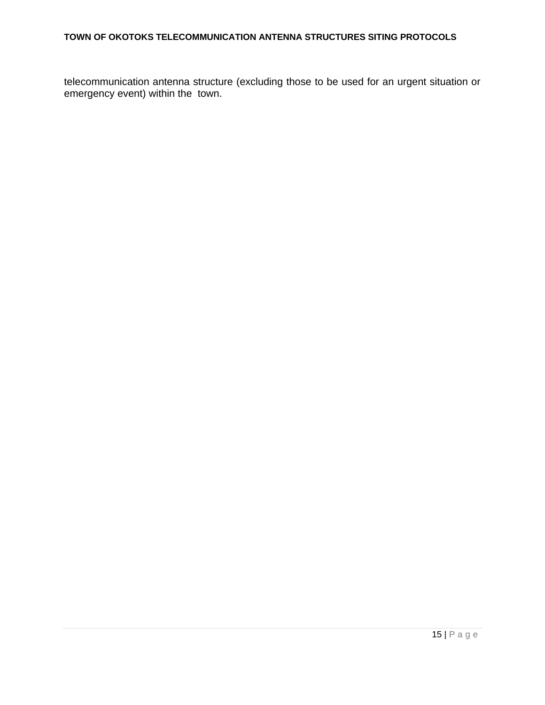#### **TOWN OF OKOTOKS TELECOMMUNICATION ANTENNA STRUCTURES SITING PROTOCOLS**

telecommunication antenna structure (excluding those to be used for an urgent situation or emergency event) within the town.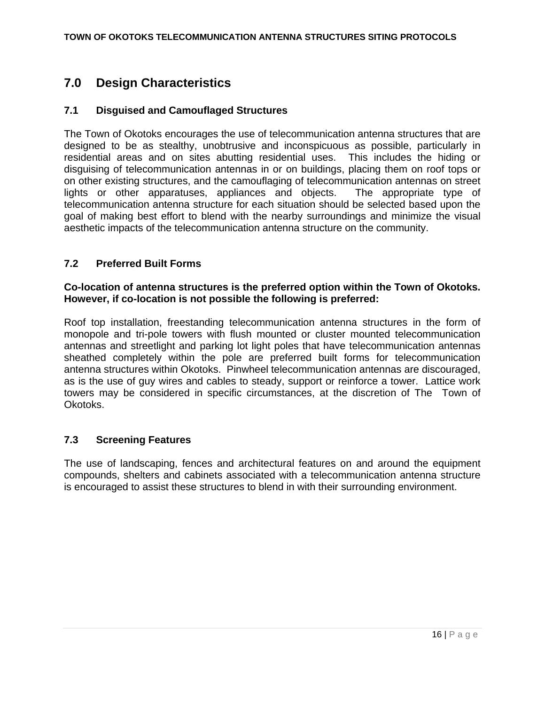## **7.0 Design Characteristics**

#### **7.1 Disguised and Camouflaged Structures**

The Town of Okotoks encourages the use of telecommunication antenna structures that are designed to be as stealthy, unobtrusive and inconspicuous as possible, particularly in residential areas and on sites abutting residential uses. This includes the hiding or disguising of telecommunication antennas in or on buildings, placing them on roof tops or on other existing structures, and the camouflaging of telecommunication antennas on street lights or other apparatuses, appliances and objects. The appropriate type of telecommunication antenna structure for each situation should be selected based upon the goal of making best effort to blend with the nearby surroundings and minimize the visual aesthetic impacts of the telecommunication antenna structure on the community.

#### **7.2 Preferred Built Forms**

#### **Co-location of antenna structures is the preferred option within the Town of Okotoks. However, if co-location is not possible the following is preferred:**

Roof top installation, freestanding telecommunication antenna structures in the form of monopole and tri-pole towers with flush mounted or cluster mounted telecommunication antennas and streetlight and parking lot light poles that have telecommunication antennas sheathed completely within the pole are preferred built forms for telecommunication antenna structures within Okotoks. Pinwheel telecommunication antennas are discouraged, as is the use of guy wires and cables to steady, support or reinforce a tower. Lattice work towers may be considered in specific circumstances, at the discretion of The Town of Okotoks.

#### **7.3 Screening Features**

The use of landscaping, fences and architectural features on and around the equipment compounds, shelters and cabinets associated with a telecommunication antenna structure is encouraged to assist these structures to blend in with their surrounding environment.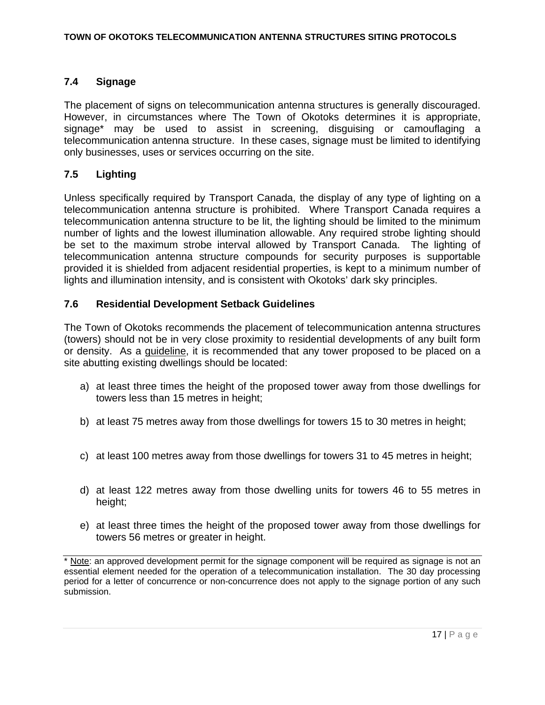#### **7.4 Signage**

The placement of signs on telecommunication antenna structures is generally discouraged. However, in circumstances where The Town of Okotoks determines it is appropriate, signage\* may be used to assist in screening, disguising or camouflaging a telecommunication antenna structure. In these cases, signage must be limited to identifying only businesses, uses or services occurring on the site.

#### **7.5 Lighting**

Unless specifically required by Transport Canada, the display of any type of lighting on a telecommunication antenna structure is prohibited. Where Transport Canada requires a telecommunication antenna structure to be lit, the lighting should be limited to the minimum number of lights and the lowest illumination allowable. Any required strobe lighting should be set to the maximum strobe interval allowed by Transport Canada. The lighting of telecommunication antenna structure compounds for security purposes is supportable provided it is shielded from adjacent residential properties, is kept to a minimum number of lights and illumination intensity, and is consistent with Okotoks' dark sky principles.

#### **7.6 Residential Development Setback Guidelines**

The Town of Okotoks recommends the placement of telecommunication antenna structures (towers) should not be in very close proximity to residential developments of any built form or density. As a guideline, it is recommended that any tower proposed to be placed on a site abutting existing dwellings should be located:

- a) at least three times the height of the proposed tower away from those dwellings for towers less than 15 metres in height;
- b) at least 75 metres away from those dwellings for towers 15 to 30 metres in height;
- c) at least 100 metres away from those dwellings for towers 31 to 45 metres in height;
- d) at least 122 metres away from those dwelling units for towers 46 to 55 metres in height;
- e) at least three times the height of the proposed tower away from those dwellings for towers 56 metres or greater in height.

<sup>\*</sup> Note: an approved development permit for the signage component will be required as signage is not an essential element needed for the operation of a telecommunication installation. The 30 day processing period for a letter of concurrence or non-concurrence does not apply to the signage portion of any such submission.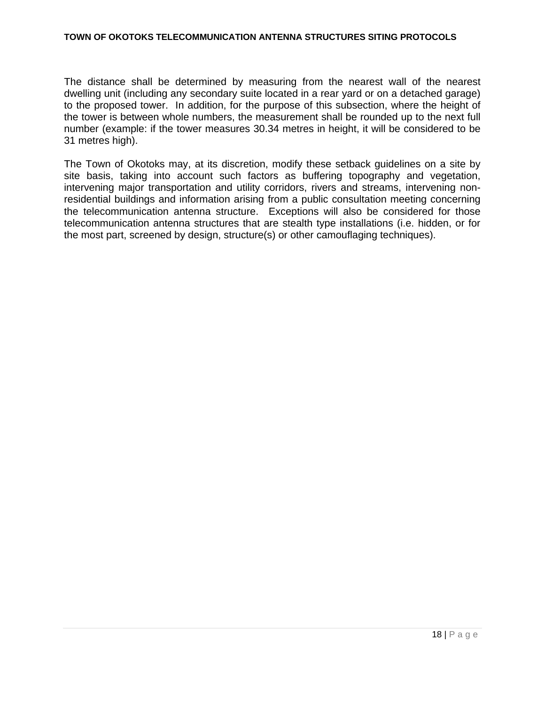The distance shall be determined by measuring from the nearest wall of the nearest dwelling unit (including any secondary suite located in a rear yard or on a detached garage) to the proposed tower. In addition, for the purpose of this subsection, where the height of the tower is between whole numbers, the measurement shall be rounded up to the next full number (example: if the tower measures 30.34 metres in height, it will be considered to be 31 metres high).

The Town of Okotoks may, at its discretion, modify these setback guidelines on a site by site basis, taking into account such factors as buffering topography and vegetation, intervening major transportation and utility corridors, rivers and streams, intervening nonresidential buildings and information arising from a public consultation meeting concerning the telecommunication antenna structure. Exceptions will also be considered for those telecommunication antenna structures that are stealth type installations (i.e. hidden, or for the most part, screened by design, structure(s) or other camouflaging techniques).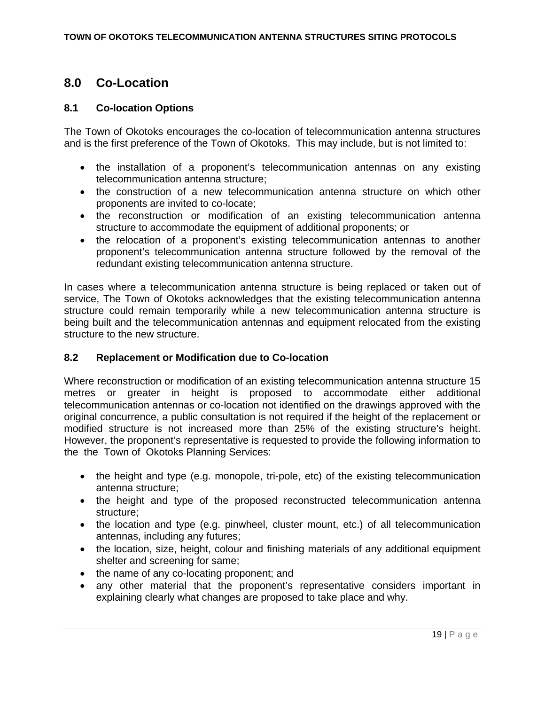### **8.0 Co-Location**

#### **8.1 Co-location Options**

The Town of Okotoks encourages the co-location of telecommunication antenna structures and is the first preference of the Town of Okotoks. This may include, but is not limited to:

- the installation of a proponent's telecommunication antennas on any existing telecommunication antenna structure;
- the construction of a new telecommunication antenna structure on which other proponents are invited to co-locate;
- the reconstruction or modification of an existing telecommunication antenna structure to accommodate the equipment of additional proponents; or
- the relocation of a proponent's existing telecommunication antennas to another proponent's telecommunication antenna structure followed by the removal of the redundant existing telecommunication antenna structure.

In cases where a telecommunication antenna structure is being replaced or taken out of service, The Town of Okotoks acknowledges that the existing telecommunication antenna structure could remain temporarily while a new telecommunication antenna structure is being built and the telecommunication antennas and equipment relocated from the existing structure to the new structure.

#### **8.2 Replacement or Modification due to Co-location**

Where reconstruction or modification of an existing telecommunication antenna structure 15 metres or greater in height is proposed to accommodate either additional telecommunication antennas or co-location not identified on the drawings approved with the original concurrence, a public consultation is not required if the height of the replacement or modified structure is not increased more than 25% of the existing structure's height. However, the proponent's representative is requested to provide the following information to the the Town of Okotoks Planning Services:

- the height and type (e.g. monopole, tri-pole, etc) of the existing telecommunication antenna structure;
- the height and type of the proposed reconstructed telecommunication antenna structure;
- the location and type (e.g. pinwheel, cluster mount, etc.) of all telecommunication antennas, including any futures;
- the location, size, height, colour and finishing materials of any additional equipment shelter and screening for same;
- the name of any co-locating proponent; and
- any other material that the proponent's representative considers important in explaining clearly what changes are proposed to take place and why.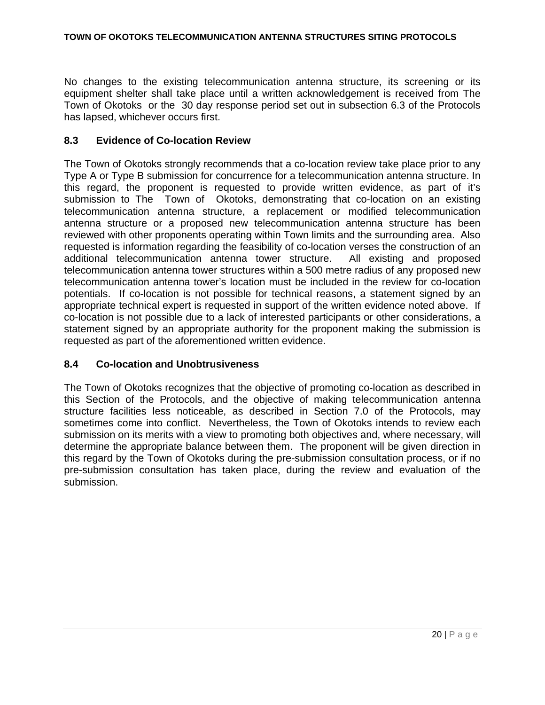No changes to the existing telecommunication antenna structure, its screening or its equipment shelter shall take place until a written acknowledgement is received from The Town of Okotoks or the 30 day response period set out in subsection 6.3 of the Protocols has lapsed, whichever occurs first.

#### **8.3 Evidence of Co-location Review**

The Town of Okotoks strongly recommends that a co-location review take place prior to any Type A or Type B submission for concurrence for a telecommunication antenna structure. In this regard, the proponent is requested to provide written evidence, as part of it's submission to The Town of Okotoks, demonstrating that co-location on an existing telecommunication antenna structure, a replacement or modified telecommunication antenna structure or a proposed new telecommunication antenna structure has been reviewed with other proponents operating within Town limits and the surrounding area. Also requested is information regarding the feasibility of co-location verses the construction of an additional telecommunication antenna tower structure. All existing and proposed telecommunication antenna tower structures within a 500 metre radius of any proposed new telecommunication antenna tower's location must be included in the review for co-location potentials. If co-location is not possible for technical reasons, a statement signed by an appropriate technical expert is requested in support of the written evidence noted above. If co-location is not possible due to a lack of interested participants or other considerations, a statement signed by an appropriate authority for the proponent making the submission is requested as part of the aforementioned written evidence.

#### **8.4 Co-location and Unobtrusiveness**

The Town of Okotoks recognizes that the objective of promoting co-location as described in this Section of the Protocols, and the objective of making telecommunication antenna structure facilities less noticeable, as described in Section 7.0 of the Protocols, may sometimes come into conflict. Nevertheless, the Town of Okotoks intends to review each submission on its merits with a view to promoting both objectives and, where necessary, will determine the appropriate balance between them. The proponent will be given direction in this regard by the Town of Okotoks during the pre-submission consultation process, or if no pre-submission consultation has taken place, during the review and evaluation of the submission.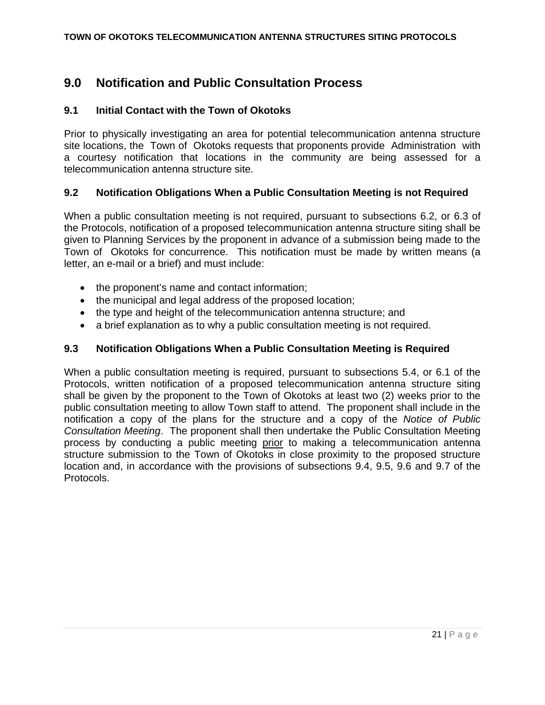## **9.0 Notification and Public Consultation Process**

#### **9.1 Initial Contact with the Town of Okotoks**

Prior to physically investigating an area for potential telecommunication antenna structure site locations, the Town of Okotoks requests that proponents provide Administration with a courtesy notification that locations in the community are being assessed for a telecommunication antenna structure site.

#### **9.2 Notification Obligations When a Public Consultation Meeting is not Required**

When a public consultation meeting is not required, pursuant to subsections 6.2, or 6.3 of the Protocols, notification of a proposed telecommunication antenna structure siting shall be given to Planning Services by the proponent in advance of a submission being made to the Town of Okotoks for concurrence. This notification must be made by written means (a letter, an e-mail or a brief) and must include:

- the proponent's name and contact information;
- the municipal and legal address of the proposed location;
- the type and height of the telecommunication antenna structure; and
- a brief explanation as to why a public consultation meeting is not required.

#### **9.3 Notification Obligations When a Public Consultation Meeting is Required**

When a public consultation meeting is required, pursuant to subsections 5.4, or 6.1 of the Protocols, written notification of a proposed telecommunication antenna structure siting shall be given by the proponent to the Town of Okotoks at least two (2) weeks prior to the public consultation meeting to allow Town staff to attend. The proponent shall include in the notification a copy of the plans for the structure and a copy of the *Notice of Public Consultation Meeting*. The proponent shall then undertake the Public Consultation Meeting process by conducting a public meeting prior to making a telecommunication antenna structure submission to the Town of Okotoks in close proximity to the proposed structure location and, in accordance with the provisions of subsections 9.4, 9.5, 9.6 and 9.7 of the Protocols.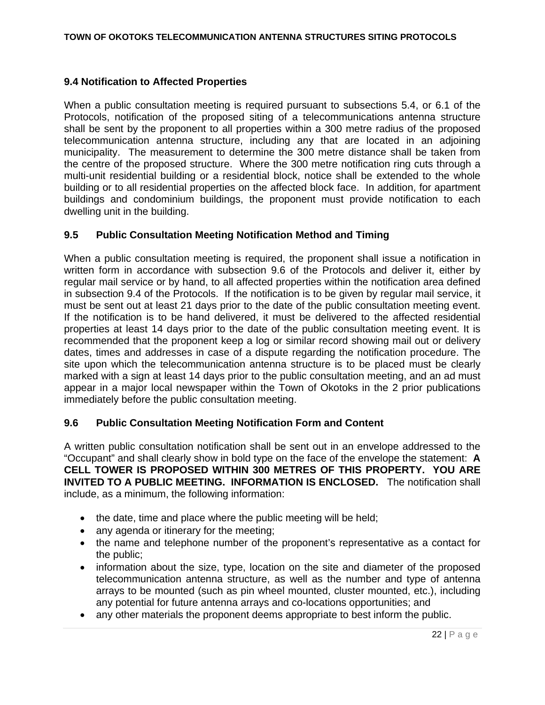#### **9.4 Notification to Affected Properties**

When a public consultation meeting is required pursuant to subsections 5.4, or 6.1 of the Protocols, notification of the proposed siting of a telecommunications antenna structure shall be sent by the proponent to all properties within a 300 metre radius of the proposed telecommunication antenna structure, including any that are located in an adjoining municipality. The measurement to determine the 300 metre distance shall be taken from the centre of the proposed structure. Where the 300 metre notification ring cuts through a multi-unit residential building or a residential block, notice shall be extended to the whole building or to all residential properties on the affected block face. In addition, for apartment buildings and condominium buildings, the proponent must provide notification to each dwelling unit in the building.

#### **9.5 Public Consultation Meeting Notification Method and Timing**

When a public consultation meeting is required, the proponent shall issue a notification in written form in accordance with subsection 9.6 of the Protocols and deliver it, either by regular mail service or by hand, to all affected properties within the notification area defined in subsection 9.4 of the Protocols. If the notification is to be given by regular mail service, it must be sent out at least 21 days prior to the date of the public consultation meeting event. If the notification is to be hand delivered, it must be delivered to the affected residential properties at least 14 days prior to the date of the public consultation meeting event. It is recommended that the proponent keep a log or similar record showing mail out or delivery dates, times and addresses in case of a dispute regarding the notification procedure. The site upon which the telecommunication antenna structure is to be placed must be clearly marked with a sign at least 14 days prior to the public consultation meeting, and an ad must appear in a major local newspaper within the Town of Okotoks in the 2 prior publications immediately before the public consultation meeting.

#### **9.6 Public Consultation Meeting Notification Form and Content**

A written public consultation notification shall be sent out in an envelope addressed to the "Occupant" and shall clearly show in bold type on the face of the envelope the statement: **A CELL TOWER IS PROPOSED WITHIN 300 METRES OF THIS PROPERTY. YOU ARE INVITED TO A PUBLIC MEETING. INFORMATION IS ENCLOSED.** The notification shall include, as a minimum, the following information:

- the date, time and place where the public meeting will be held;
- any agenda or itinerary for the meeting;
- the name and telephone number of the proponent's representative as a contact for the public;
- information about the size, type, location on the site and diameter of the proposed telecommunication antenna structure, as well as the number and type of antenna arrays to be mounted (such as pin wheel mounted, cluster mounted, etc.), including any potential for future antenna arrays and co-locations opportunities; and
- any other materials the proponent deems appropriate to best inform the public.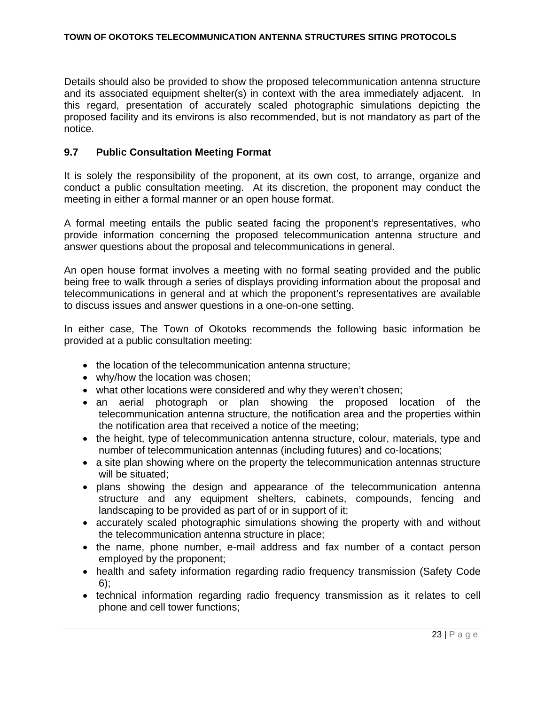Details should also be provided to show the proposed telecommunication antenna structure and its associated equipment shelter(s) in context with the area immediately adjacent. In this regard, presentation of accurately scaled photographic simulations depicting the proposed facility and its environs is also recommended, but is not mandatory as part of the notice.

#### **9.7 Public Consultation Meeting Format**

It is solely the responsibility of the proponent, at its own cost, to arrange, organize and conduct a public consultation meeting. At its discretion, the proponent may conduct the meeting in either a formal manner or an open house format.

A formal meeting entails the public seated facing the proponent's representatives, who provide information concerning the proposed telecommunication antenna structure and answer questions about the proposal and telecommunications in general.

An open house format involves a meeting with no formal seating provided and the public being free to walk through a series of displays providing information about the proposal and telecommunications in general and at which the proponent's representatives are available to discuss issues and answer questions in a one-on-one setting.

In either case, The Town of Okotoks recommends the following basic information be provided at a public consultation meeting:

- the location of the telecommunication antenna structure:
- why/how the location was chosen;
- what other locations were considered and why they weren't chosen;
- an aerial photograph or plan showing the proposed location of the telecommunication antenna structure, the notification area and the properties within the notification area that received a notice of the meeting;
- the height, type of telecommunication antenna structure, colour, materials, type and number of telecommunication antennas (including futures) and co-locations;
- a site plan showing where on the property the telecommunication antennas structure will be situated:
- plans showing the design and appearance of the telecommunication antenna structure and any equipment shelters, cabinets, compounds, fencing and landscaping to be provided as part of or in support of it;
- accurately scaled photographic simulations showing the property with and without the telecommunication antenna structure in place;
- the name, phone number, e-mail address and fax number of a contact person employed by the proponent;
- health and safety information regarding radio frequency transmission (Safety Code 6);
- technical information regarding radio frequency transmission as it relates to cell phone and cell tower functions;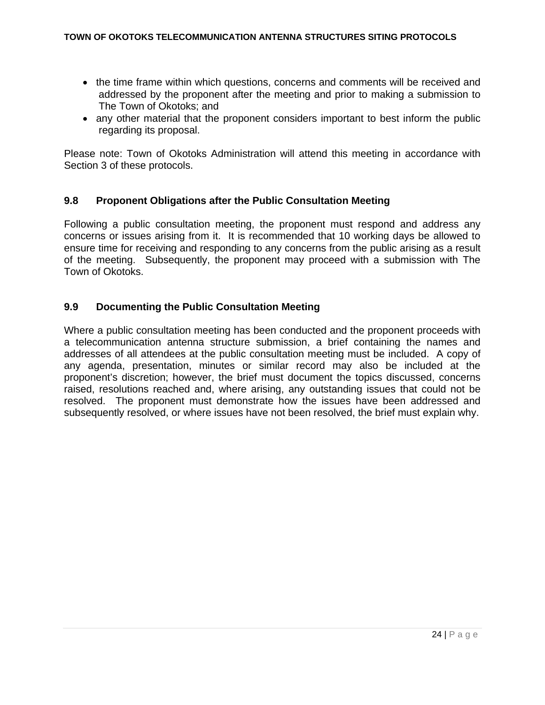- the time frame within which questions, concerns and comments will be received and addressed by the proponent after the meeting and prior to making a submission to The Town of Okotoks; and
- any other material that the proponent considers important to best inform the public regarding its proposal.

Please note: Town of Okotoks Administration will attend this meeting in accordance with Section 3 of these protocols.

#### **9.8 Proponent Obligations after the Public Consultation Meeting**

Following a public consultation meeting, the proponent must respond and address any concerns or issues arising from it. It is recommended that 10 working days be allowed to ensure time for receiving and responding to any concerns from the public arising as a result of the meeting. Subsequently, the proponent may proceed with a submission with The Town of Okotoks.

#### **9.9 Documenting the Public Consultation Meeting**

Where a public consultation meeting has been conducted and the proponent proceeds with a telecommunication antenna structure submission, a brief containing the names and addresses of all attendees at the public consultation meeting must be included. A copy of any agenda, presentation, minutes or similar record may also be included at the proponent's discretion; however, the brief must document the topics discussed, concerns raised, resolutions reached and, where arising, any outstanding issues that could not be resolved. The proponent must demonstrate how the issues have been addressed and subsequently resolved, or where issues have not been resolved, the brief must explain why.